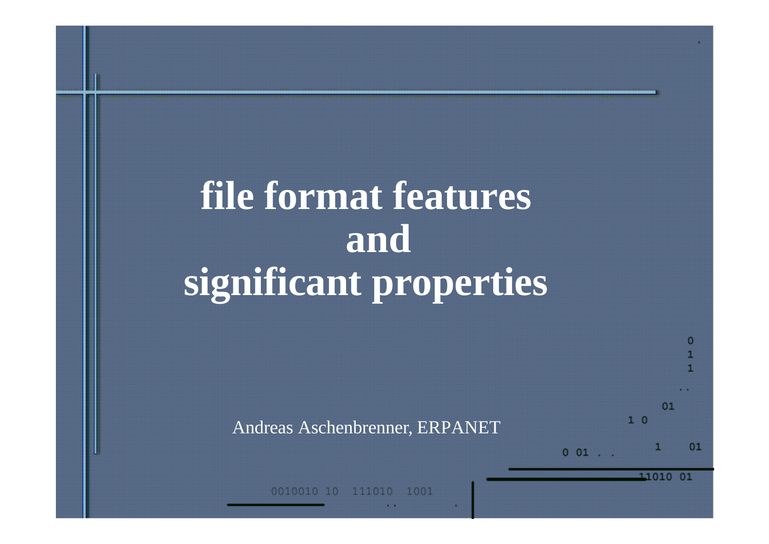# **file format features and significant properties**

Andreas Aschenbrenner, ERPANET

 $01$ 

п

11010

 $1<sup>0</sup>$ 

 $001$ .

1001 111010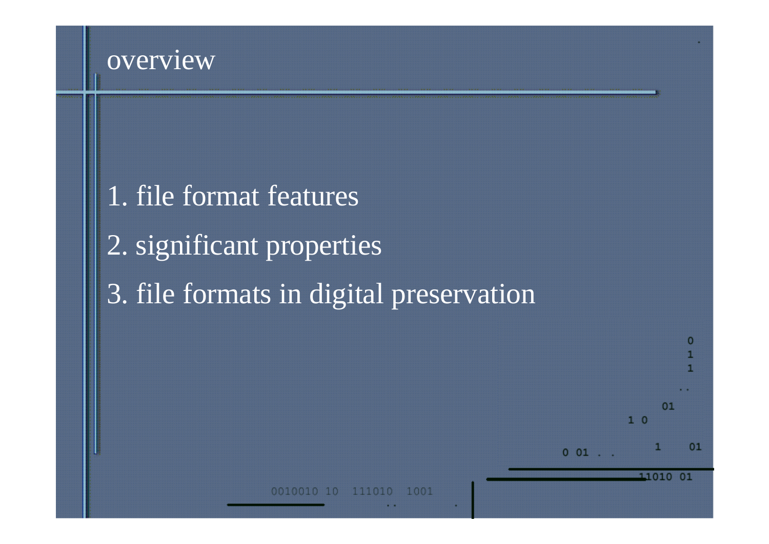#### overview

# 1. file format features 2. significant properties 3. file formats in digital preservation



1001 111010 10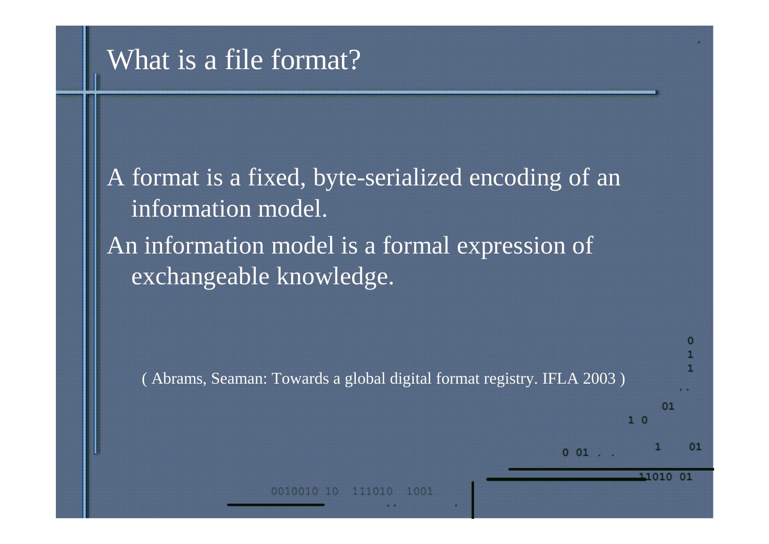### What is a file format?

A format is a fixed, byte-serialized encoding of an information model. An information model is a formal expression of exchangeable knowledge.

( Abrams, Seaman: Towards a global digital format registry. IFLA 2003 )

1001

 $01$ 

11010

 $1<sup>0</sup>$ 

 $001$ .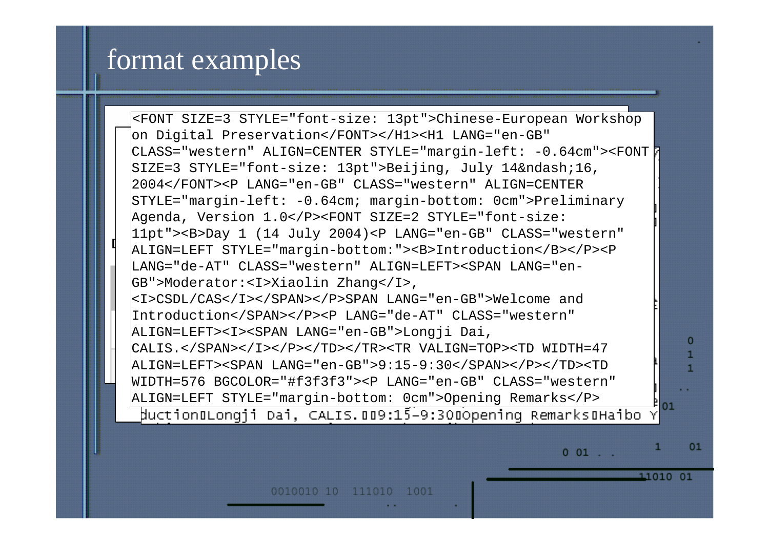#### format examples

<FONT SIZE=3 STYLE="font-size: 13pt">Chinese-European Workshop ‰PNG on Digital Preservation</FONT></H1><H1 LANG="en-GB" CLASS="western" ALIGN=CENTER STYLE="margin-left: -0.64cm"><FONT SIZE=3 STYLE="font-size: 13pt">Beijing, July 14–16, 2004</FONT><P LANG="en-GB" CLASS="western" ALIGN=CENTER STYLE="margin-left: -0.64cm; margin-bottom: 0cm">Preliminary Agenda, Version 1.0</P><FONT SIZE=2 STYLE="font-size: 4, VULSION I.03/FASPONI DIZE-Z DIIL<br>1985 Martin 1986, Tulit 2004) AD IANG-Hor 11pt"><B>Day 1 (14 July 2004)<P LANG="en-GB" CLASS="western"  $\sim$  522 Day + (+1 0 ary 2001) +1 mm0= CH ALIGN=LEFT STYLE="margin-bottom:"><B>Introduction</B></P><P Ðh# Œ'Q0FÁ( Ã Ðh# Œ'Q0FÁ( Ã LANG="de-AT" CLASS="western" ALIGN=LEFT><SPAN LANG="en-GB">Moderator:<I>Xiaolin Zhang</I>, <I>CSDL/CAS</I></SPAN></P>SPAN LANG="en-GB">Welcome and Introduction</SPAN></P><P LANG="de-AT" CLASS="western" ALIGN=LEFT><I><SPAN LANG="en-GB">Longji Dai, CALIS.</SPAN></I></P></TD></TR><TR VALIGN=TOP><TD WIDTH=47 ÑF •ÀÅ‹ "## |}} >| Èðÿÿ•† >0ÔÔÔ €åûûûI2 ¤ "‡ €¹ •t ALIGN=LEFT><SPAN LANG="en-GB">9:15-9:30</SPAN></P></TD><TD `hh ¦Ÿ<y ¦Ÿ?•Ž"•ïÞ=y˜úQ €œ6Ay "gAy÷ĉ jÈ1 @ •›'' WIDTH=576 BGCOLOR="#f3f3f3"><P LANG="en-GB" CLASS="western" ALIGN=LEFT STYLE="margin-bottom: 0cm">Opening Remarks</P>  $01$ ductionuLongji Dai, CALIS.009:15-9:300opening RemarksuHaibo

 $001$ .

11010 01

0010010 10 111010 1001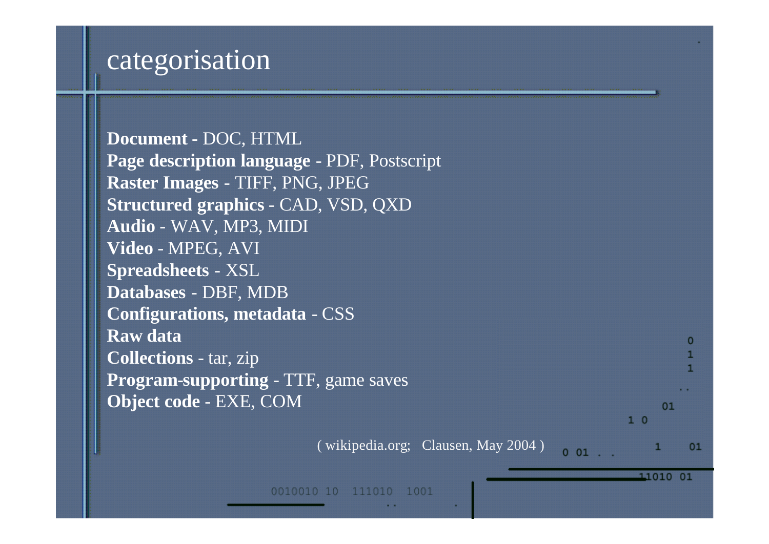### categorisation

| 01 |
|----|
|    |
|    |

( wikipedia.org; Clausen, May 2004 )

11010 01

 $\mathbf{C}$ 

1

0010010 10 111010 1001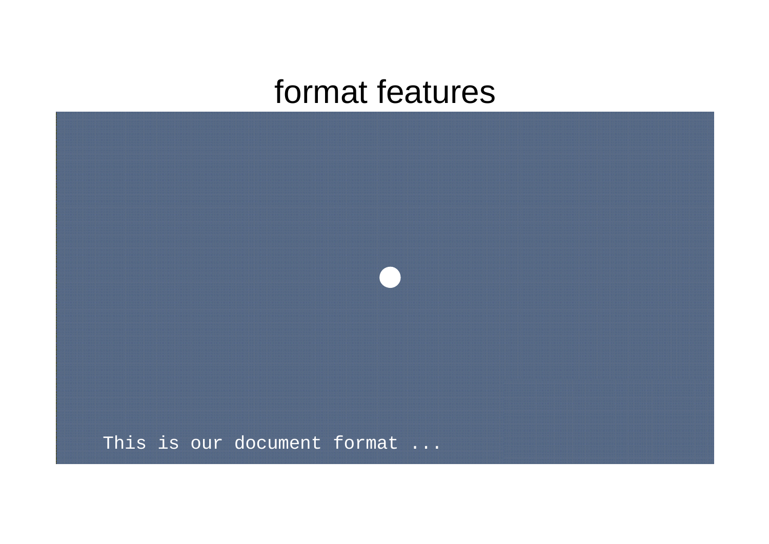

This is our document format ...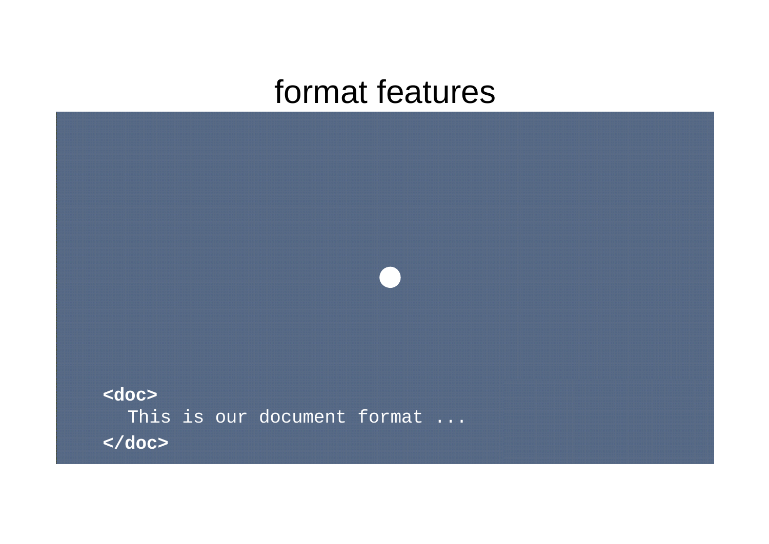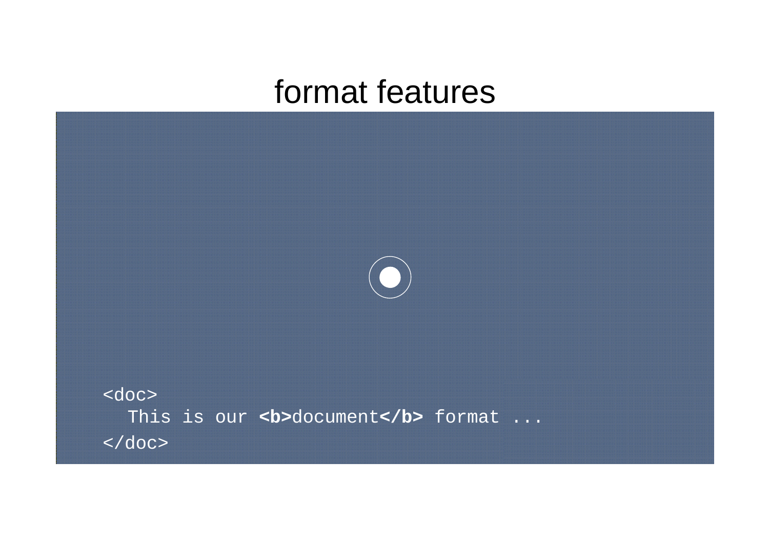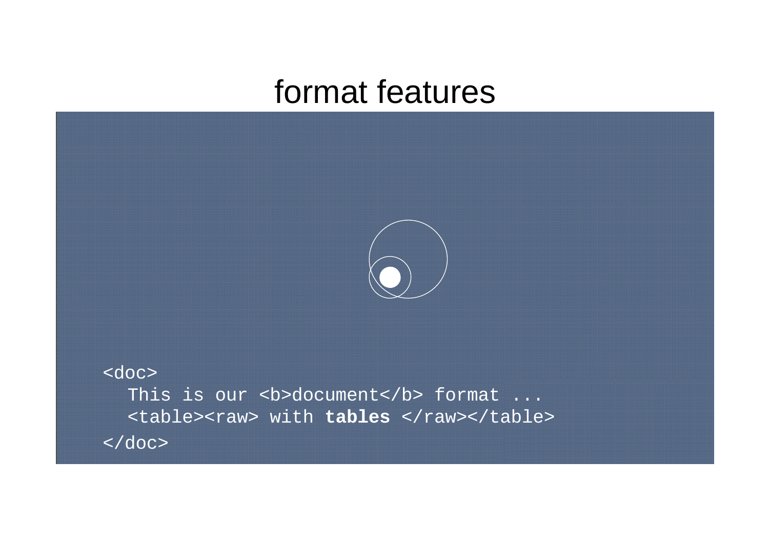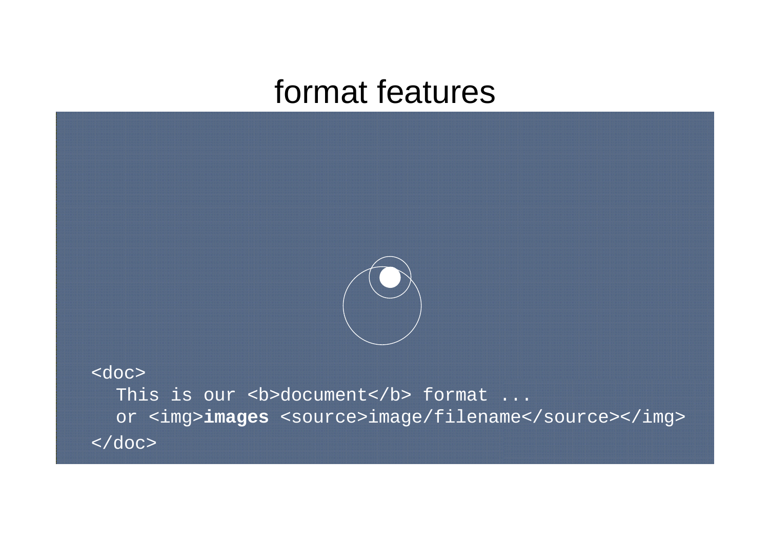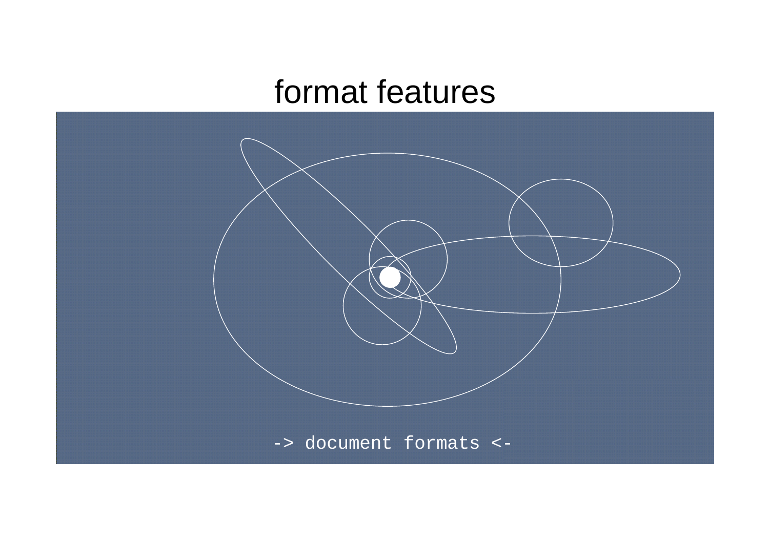

-> document formats <-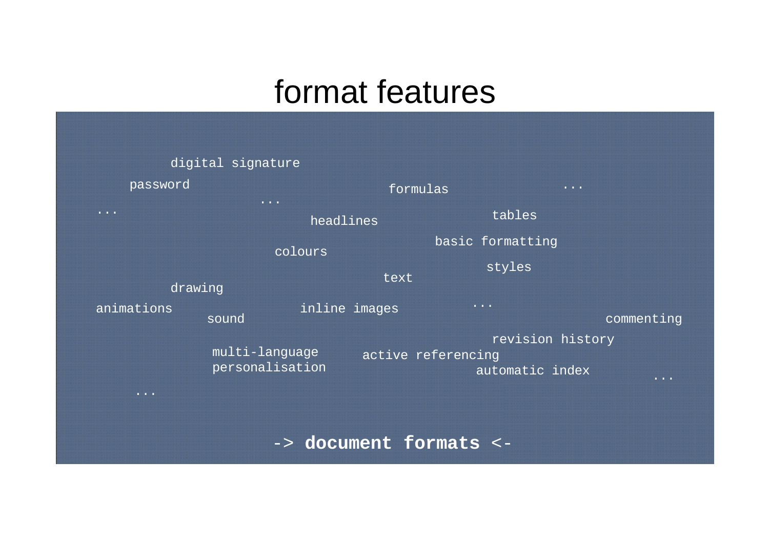|                                   | digital signature                 |                    |                                   |                                        |
|-----------------------------------|-----------------------------------|--------------------|-----------------------------------|----------------------------------------|
| password                          | $\bullet\quad\bullet\quad\bullet$ | formulas           | $\bullet\quad\bullet\quad\bullet$ |                                        |
| $\bullet\quad\bullet\quad\bullet$ | headlines                         |                    | tables                            |                                        |
|                                   | colours                           |                    | basic formatting                  |                                        |
| drawing                           |                                   | text               | styles                            |                                        |
|                                   |                                   |                    |                                   |                                        |
| animations                        | inline images<br>sound            |                    | $\bullet\quad\bullet\quad\bullet$ | commenting                             |
|                                   | multi-language                    | active referencing | revision history                  |                                        |
|                                   | personalisation                   |                    | automatic index                   | $\bullet\quad\bullet\quad\bullet\quad$ |
| $\bullet\quad\bullet\quad\bullet$ |                                   |                    |                                   |                                        |

-> **document formats** <-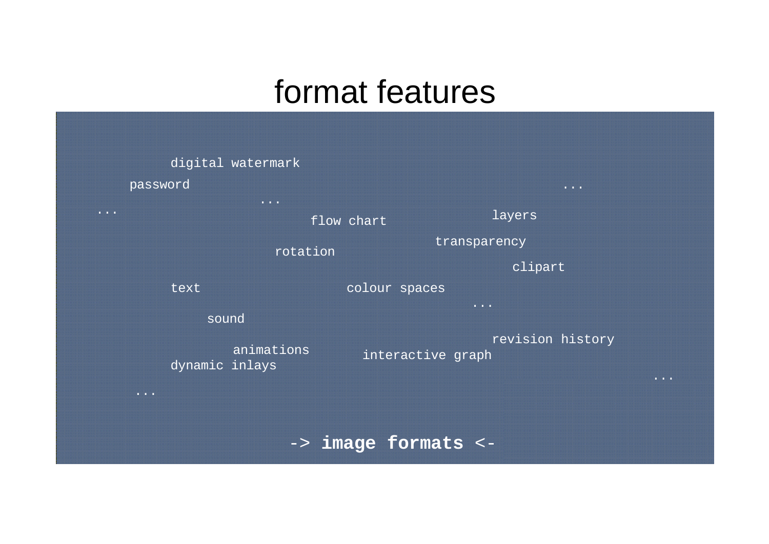|                                   | digital watermark                                                                           |                   |                                                                                            |                                   |
|-----------------------------------|---------------------------------------------------------------------------------------------|-------------------|--------------------------------------------------------------------------------------------|-----------------------------------|
|                                   | password                                                                                    |                   | $\begin{array}{ccccccccccccc} \bullet & \bullet & \bullet & \bullet & \bullet \end{array}$ |                                   |
| $\bullet\quad\bullet\quad\bullet$ | $\bullet\quad\bullet\quad\bullet$                                                           | flow chart        | layers                                                                                     |                                   |
|                                   | rotation                                                                                    |                   | transparency                                                                               |                                   |
|                                   |                                                                                             |                   | clipart                                                                                    |                                   |
|                                   | text                                                                                        | colour spaces     |                                                                                            |                                   |
|                                   | sound                                                                                       |                   | $\bullet\quad\bullet\quad\bullet$                                                          |                                   |
|                                   | animations<br>dynamic inlays                                                                | interactive graph | revision history                                                                           | $\bullet\quad\bullet\quad\bullet$ |
|                                   | $\begin{array}{cccccccccccccc} \bullet & \bullet & \bullet & \bullet & \bullet \end{array}$ |                   |                                                                                            |                                   |

-> **image formats** <-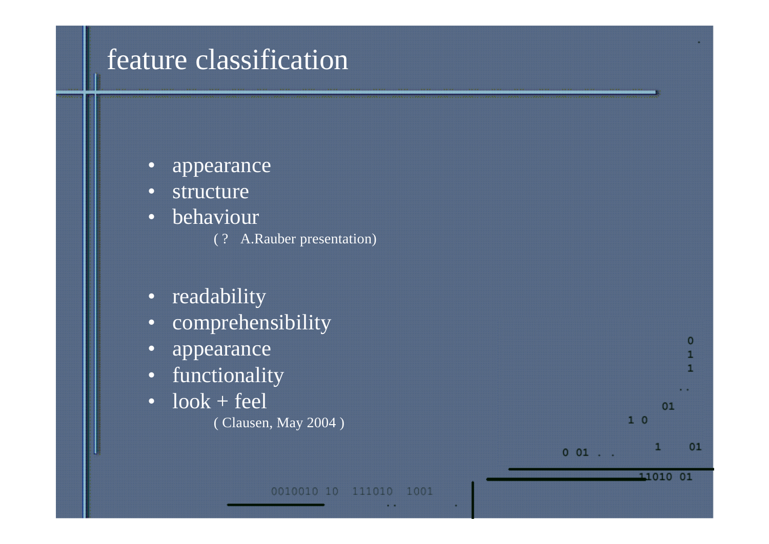### feature classification

- appearance
- structure
- behaviour
	- ( ? A.Rauber presentation)
- readability
- comprehensibility
- appearance
- functionality
- $\bullet$  look + feel ( Clausen, May 2004 )



 $01$ 

1

11010 01

 $10$ 

 $0 01$  . .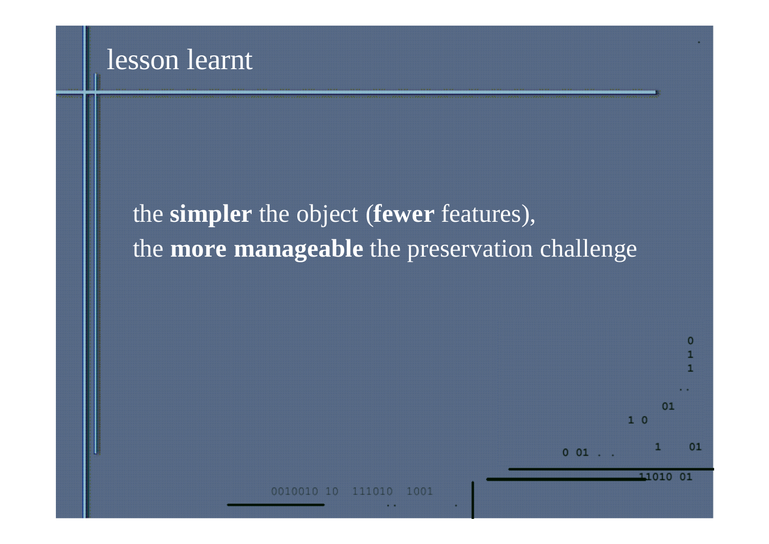#### lesson learnt

### the **simpler** the object (**fewer** features), the **more manageable** the preservation challenge



1001 111010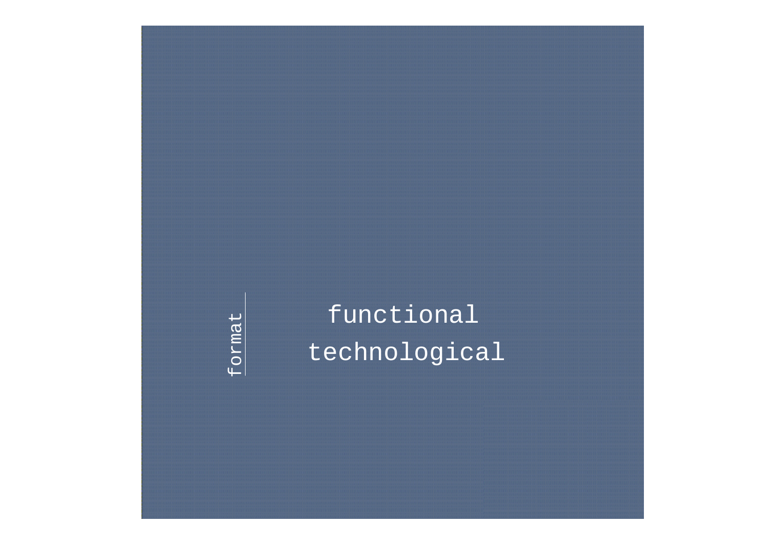format format

technological functional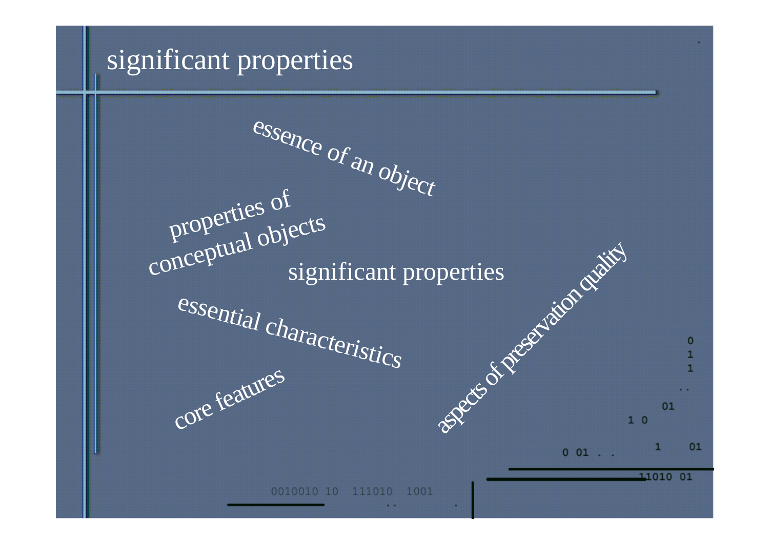#### significant properties

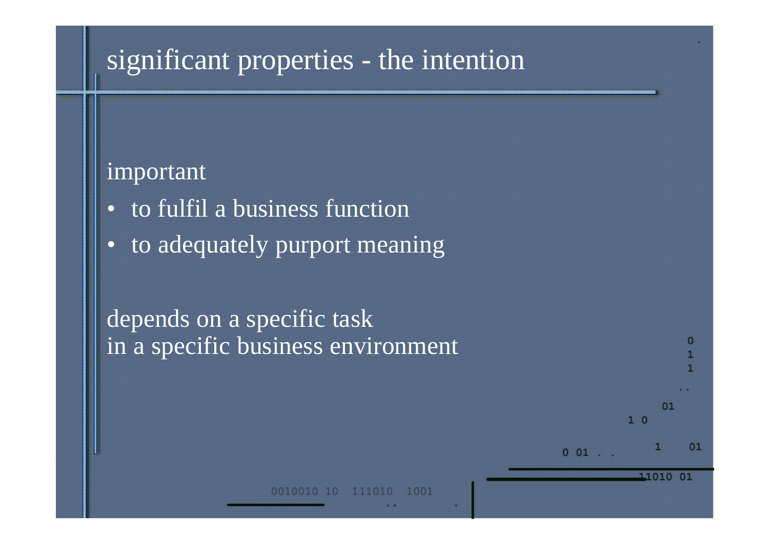### significant properties - the intention

#### important

- to fulfil a business function
- to adequately purport meaning

#### depends on a specific task in a specific business environment

111010 1001

 $^{\circ}$ 

11010 01

 $1<sub>0</sub>$ 

 $001$ .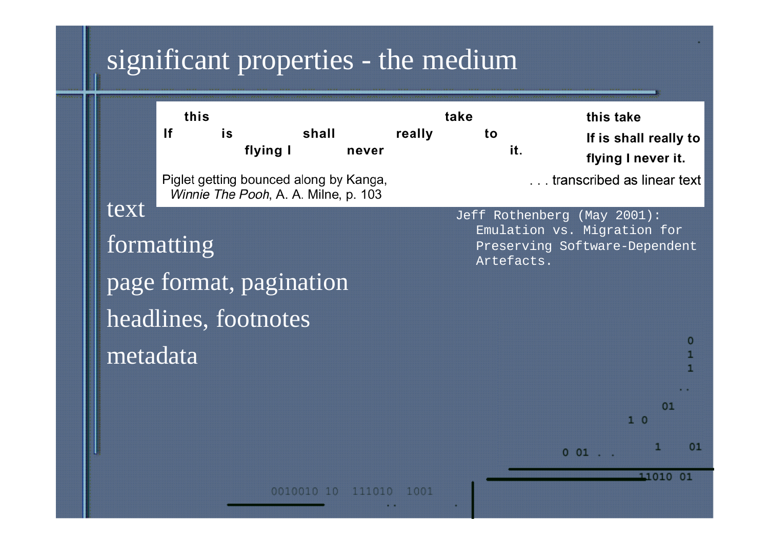### significant properties - the medium

|          | this<br>If<br>is | flying I                             | shall<br>never                         | really | take<br>to<br>it. | this take<br>If is shall really to<br>flying I never it.                                    |
|----------|------------------|--------------------------------------|----------------------------------------|--------|-------------------|---------------------------------------------------------------------------------------------|
|          |                  | Winnie The Pooh, A. A. Milne, p. 103 | Piglet getting bounced along by Kanga, |        |                   | transcribed as linear tex                                                                   |
| text     | formatting       | page format, pagination              |                                        |        | Artefacts.        | Jeff Rothenberg (May 2001):<br>Emulation vs. Migration for<br>Preserving Software-Dependent |
| metadata |                  | headlines, footnotes                 |                                        |        |                   | ο                                                                                           |
|          |                  |                                      |                                        |        |                   | 01<br>10                                                                                    |
|          |                  |                                      |                                        |        |                   | $0 01$                                                                                      |
|          |                  | 0010010 10                           | 111010                                 | 1001   |                   | 11010<br>01                                                                                 |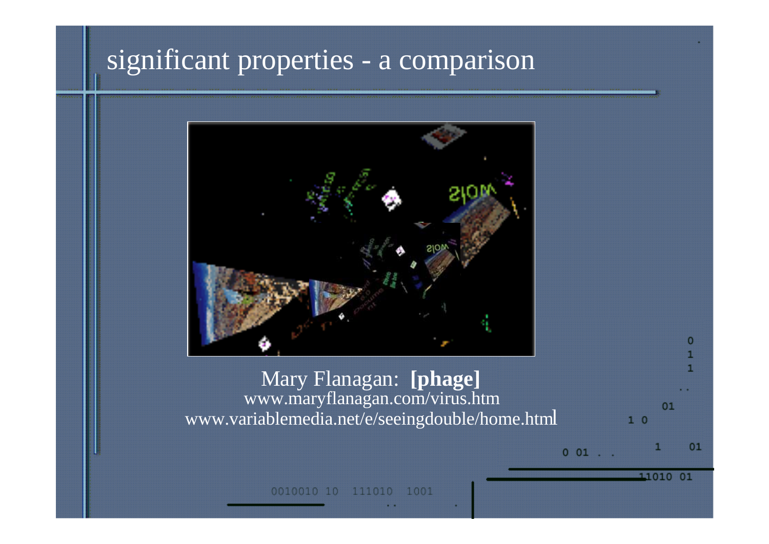#### significant properties - a comparison



#### Mary Flanagan: **[phage]** www.maryflanagan.com/virus.htm www.variablemedia.net/e/seeingdouble/home.html

01  $1\degree$  0  $001$ .

11010 01

1001 0010010 111010  $\Box$ 0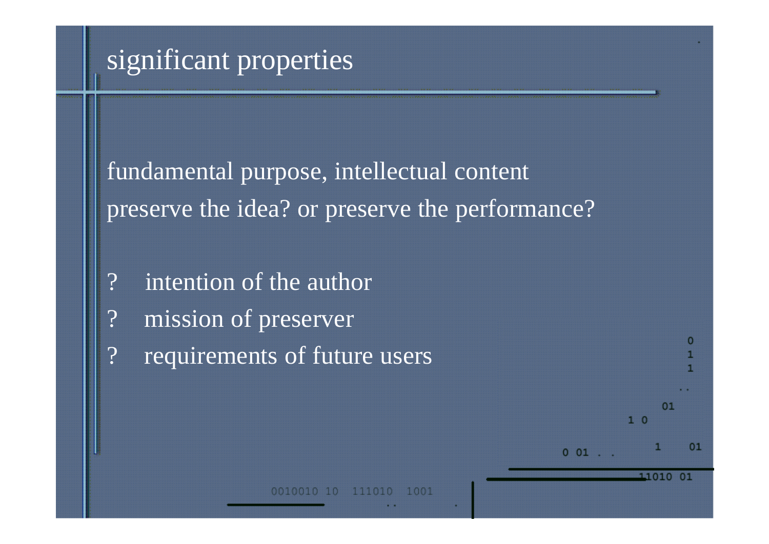### significant properties

fundamental purpose, intellectual content preserve the idea? or preserve the performance?

- ? intention of the author
- mission of preserver
- ? requirements of future users

1 0 0 1

 $1<sup>0</sup>$ 

11010

 $001$ .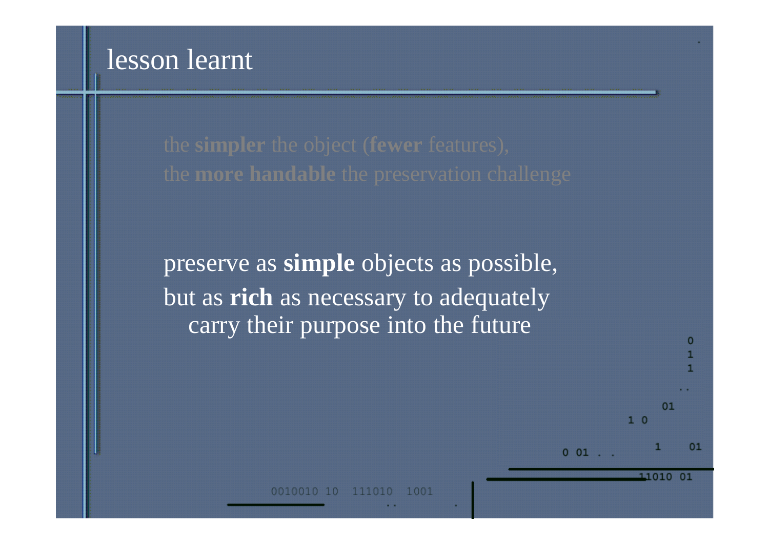preserve as **simple** objects as possible, but as **rich** as necessary to adequately carry their purpose into the future

1001

01

11010 01

 $1<sup>0</sup>$ 

 $0 01$ .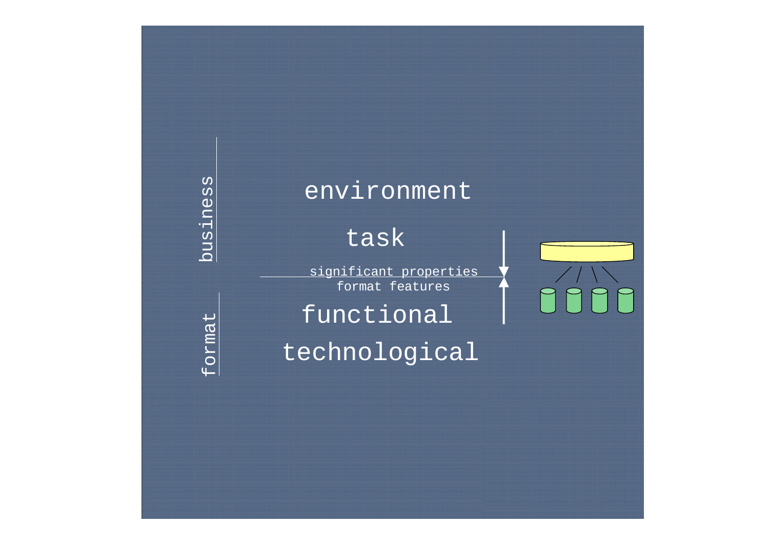business

#### environment

#### task

significant properties format features

functional

technological

format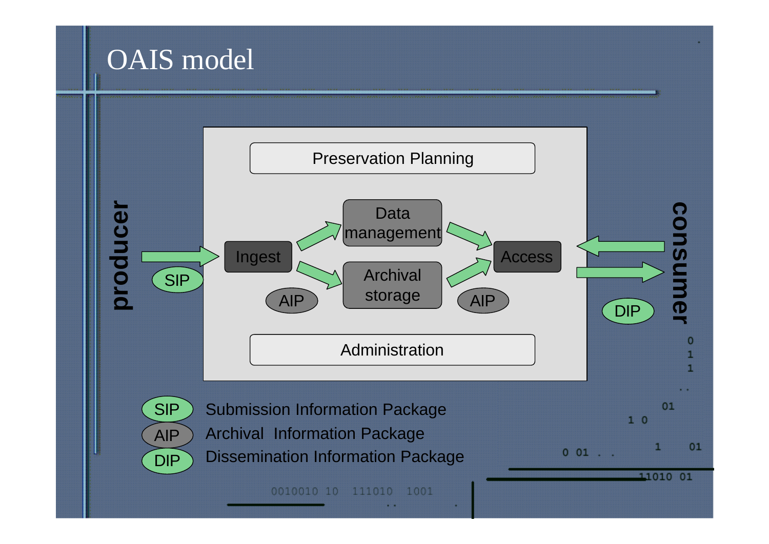### OAIS model

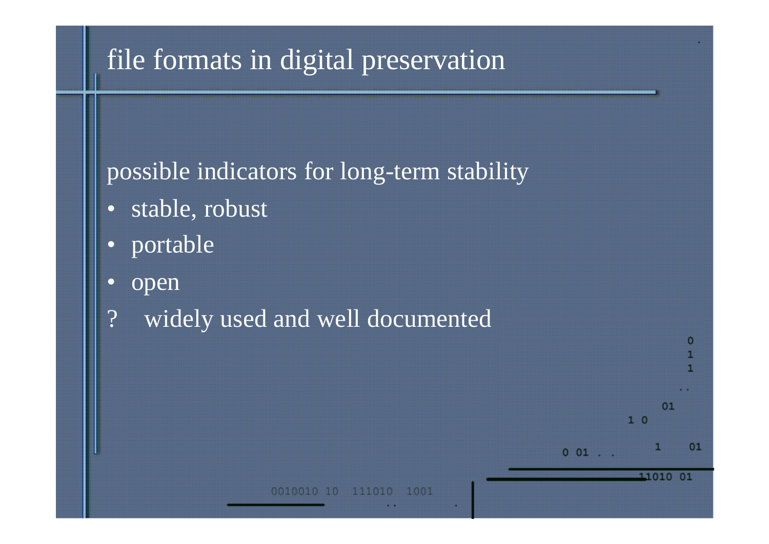### file formats in digital preservation

#### possible indicators for long-term stability

- stable, robust
- portable
- open
- ? widely used and well documented



1001 111010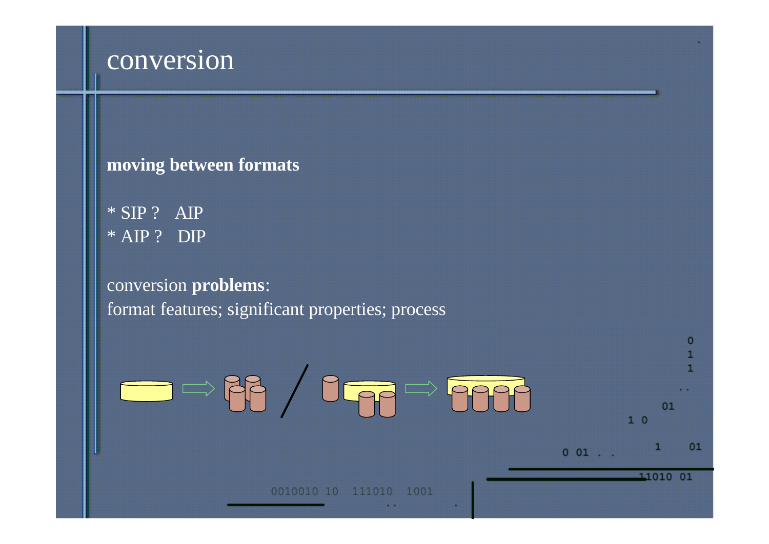#### conversion

#### **moving between formats**

\* SIP ? AIP \* AIP ? DIP

#### conversion **problems**: format features; significant properties; process

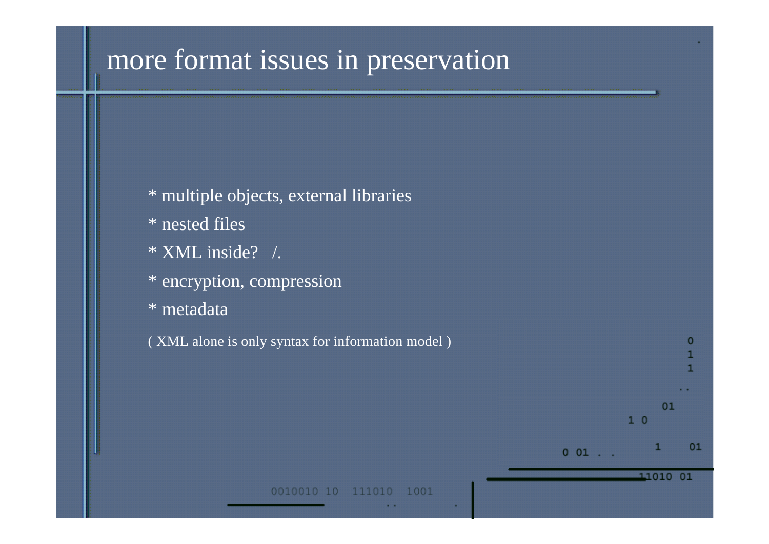### more format issues in preservation

| * multiple objects, external libraries           |               |
|--------------------------------------------------|---------------|
| $*$ nested files                                 |               |
| * XML inside? /.                                 |               |
| * encryption, compression                        |               |
| * metadata                                       |               |
| (XML alone is only syntax for information model) | 0             |
|                                                  |               |
|                                                  | 01            |
|                                                  | 10            |
|                                                  | п<br>$0$ $01$ |
| 0010010 10<br>111010<br>1001                     | 11010<br>01   |
|                                                  |               |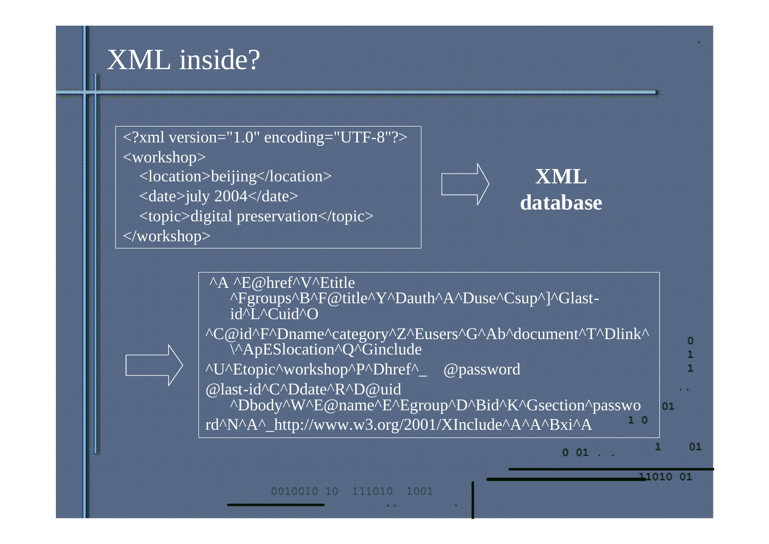### XML inside?





#### **XML database**

11010 01



111010 1001 0010010 10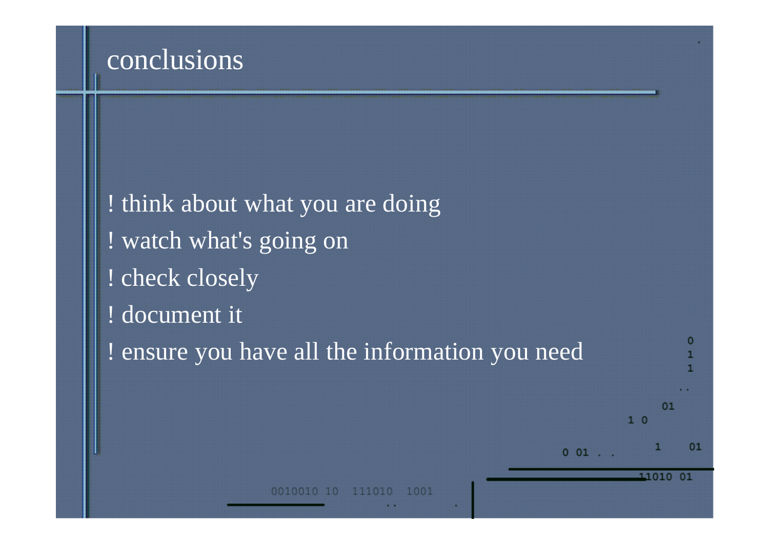#### conclusions